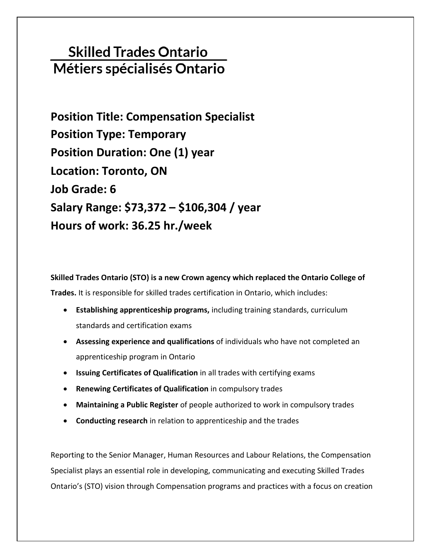# **Skilled Trades Ontario** Métiers spécialisés Ontario

**Position Title: Compensation Specialist Position Type: Temporary Position Duration: One (1) year Location: Toronto, ON Job Grade: 6 Salary Range: \$73,372 – \$106,304 / year Hours of work: 36.25 hr./week**

**Skilled Trades Ontario (STO) is a new Crown agency which replaced the Ontario College of Trades.** It is responsible for skilled trades certification in Ontario, which includes: 

- **Establishing apprenticeship programs,**including training standards, curriculum standards and certification exams
- **Assessing experience and qualifications** of individuals who have not completed an apprenticeship program in Ontario
- **Issuing Certificates of Qualification** in all trades with certifying exams
- **Renewing Certificates of Qualification** in compulsory trades
- **Maintaining a Public Register** of people authorized to work in compulsory trades
- **Conducting research** in relation to apprenticeship and the trades

Reporting to the Senior Manager, Human Resources and Labour Relations, the Compensation Specialist plays an essential role in developing, communicating and executing Skilled Trades Ontario's (STO) vision through Compensation programs and practices with a focus on creation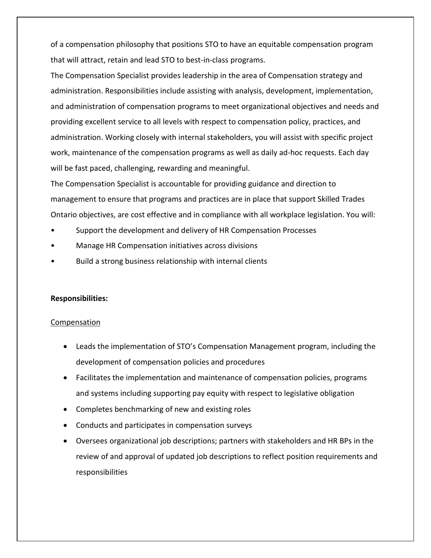of a compensation philosophy that positions STO to have an equitable compensation program that will attract, retain and lead STO to best-in-class programs.

The Compensation Specialist provides leadership in the area of Compensation strategy and administration. Responsibilities include assisting with analysis, development, implementation, and administration of compensation programs to meet organizational objectives and needs and providing excellent service to all levels with respect to compensation policy, practices, and administration. Working closely with internal stakeholders, you will assist with specific project work, maintenance of the compensation programs as well as daily ad-hoc requests. Each day will be fast paced, challenging, rewarding and meaningful.

The Compensation Specialist is accountable for providing guidance and direction to management to ensure that programs and practices are in place that support Skilled Trades Ontario objectives, are cost effective and in compliance with all workplace legislation. You will:

- Support the development and delivery of HR Compensation Processes
- Manage HR Compensation initiatives across divisions
- Build a strong business relationship with internal clients

### **Responsibilities:**

#### Compensation

- Leads the implementation of STO's Compensation Management program, including the development of compensation policies and procedures
- Facilitates the implementation and maintenance of compensation policies, programs and systems including supporting pay equity with respect to legislative obligation
- Completes benchmarking of new and existing roles
- Conducts and participates in compensation surveys
- Oversees organizational job descriptions; partners with stakeholders and HR BPs in the review of and approval of updated job descriptions to reflect position requirements and responsibilities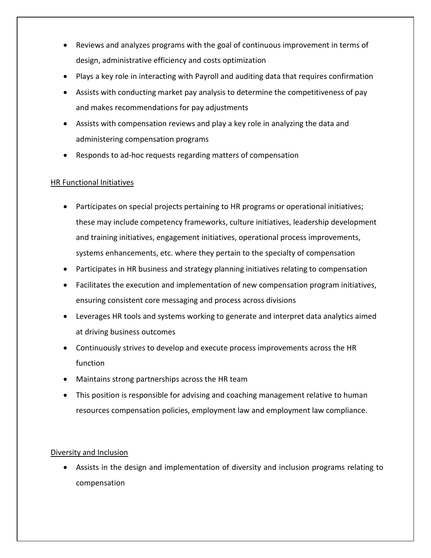- Reviews and analyzes programs with the goal of continuous improvement in terms of design, administrative efficiency and costs optimization
- Plays a key role in interacting with Payroll and auditing data that requires confirmation
- Assists with conducting market pay analysis to determine the competitiveness of pay and makes recommendations for pay adjustments
- Assists with compensation reviews and play a key role in analyzing the data and administering compensation programs
- Responds to ad-hoc requests regarding matters of compensation

## HR Functional Initiatives

- Participates on special projects pertaining to HR programs or operational initiatives; these may include competency frameworks, culture initiatives, leadership development and training initiatives, engagement initiatives, operational process improvements, systems enhancements, etc. where they pertain to the specialty of compensation
- Participates in HR business and strategy planning initiatives relating to compensation
- Facilitates the execution and implementation of new compensation program initiatives, ensuring consistent core messaging and process across divisions
- Leverages HR tools and systems working to generate and interpret data analytics aimed at driving business outcomes
- Continuously strives to develop and execute process improvements across the HR function
- Maintains strong partnerships across the HR team
- This position is responsible for advising and coaching management relative to human resources compensation policies, employment law and employment law compliance.

## Diversity and Inclusion

• Assists in the design and implementation of diversity and inclusion programs relating to compensation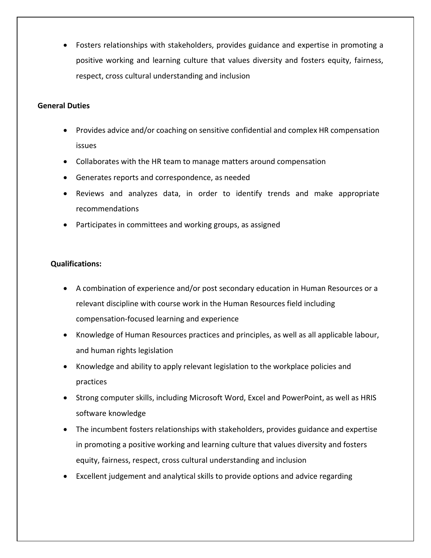• Fosters relationships with stakeholders, provides guidance and expertise in promoting a positive working and learning culture that values diversity and fosters equity, fairness, respect, cross cultural understanding and inclusion

#### **General Duties**

- Provides advice and/or coaching on sensitive confidential and complex HR compensation issues
- Collaborates with the HR team to manage matters around compensation
- Generates reports and correspondence, as needed
- Reviews and analyzes data, in order to identify trends and make appropriate recommendations
- Participates in committees and working groups, as assigned

## **Qualifications:**

- A combination of experience and/or post secondary education in Human Resources or a relevant discipline with course work in the Human Resources field including compensation-focused learning and experience
- Knowledge of Human Resources practices and principles, as well as all applicable labour, and human rights legislation
- Knowledge and ability to apply relevant legislation to the workplace policies and practices
- Strong computer skills, including Microsoft Word, Excel and PowerPoint, as well as HRIS software knowledge
- The incumbent fosters relationships with stakeholders, provides guidance and expertise in promoting a positive working and learning culture that values diversity and fosters equity, fairness, respect, cross cultural understanding and inclusion
- Excellent judgement and analytical skills to provide options and advice regarding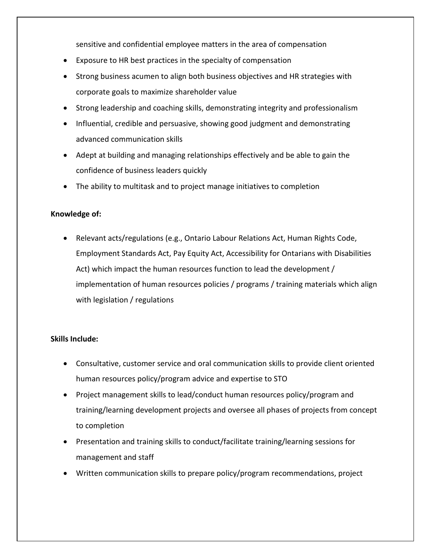sensitive and confidential employee matters in the area of compensation

- Exposure to HR best practices in the specialty of compensation
- Strong business acumen to align both business objectives and HR strategies with corporate goals to maximize shareholder value
- Strong leadership and coaching skills, demonstrating integrity and professionalism
- Influential, credible and persuasive, showing good judgment and demonstrating advanced communication skills
- Adept at building and managing relationships effectively and be able to gain the confidence of business leaders quickly
- The ability to multitask and to project manage initiatives to completion

### **Knowledge of:**

• Relevant acts/regulations (e.g., Ontario Labour Relations Act, Human Rights Code, Employment Standards Act, Pay Equity Act, Accessibility for Ontarians with Disabilities Act) which impact the human resources function to lead the development / implementation of human resources policies / programs / training materials which align with legislation / regulations

### **Skills Include:**

- Consultative, customer service and oral communication skills to provide client oriented human resources policy/program advice and expertise to STO
- Project management skills to lead/conduct human resources policy/program and training/learning development projects and oversee all phases of projects from concept to completion
- Presentation and training skills to conduct/facilitate training/learning sessions for management and staff
- Written communication skills to prepare policy/program recommendations, project